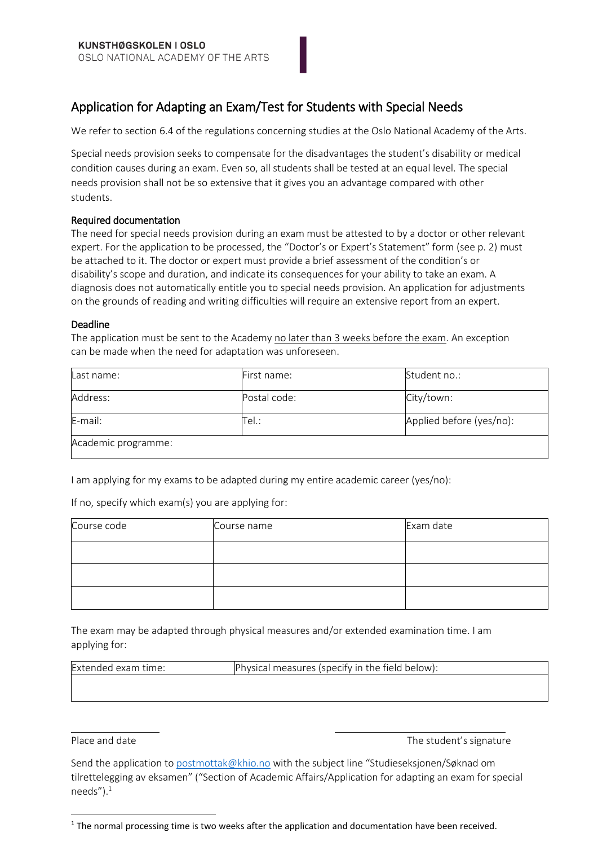## Application for Adapting an Exam/Test for Students with Special Needs

We refer to section 6.4 of the regulations concerning studies at the Oslo National Academy of the Arts.

Special needs provision seeks to compensate for the disadvantages the student's disability or medical condition causes during an exam. Even so, all students shall be tested at an equal level. The special needs provision shall not be so extensive that it gives you an advantage compared with other students.

#### Required documentation

The need for special needs provision during an exam must be attested to by a doctor or other relevant expert. For the application to be processed, the "Doctor's or Expert's Statement" form (see p. 2) must be attached to it. The doctor or expert must provide a brief assessment of the condition's or disability's scope and duration, and indicate its consequences for your ability to take an exam. A diagnosis does not automatically entitle you to special needs provision. An application for adjustments on the grounds of reading and writing difficulties will require an extensive report from an expert.

#### Deadline

The application must be sent to the Academy no later than 3 weeks before the exam. An exception can be made when the need for adaptation was unforeseen.

| Last name:          | First name:  | Student no.:             |
|---------------------|--------------|--------------------------|
| Address:            | Postal code: | City/town:               |
| E-mail:             | Tel.:        | Applied before (yes/no): |
| Academic programme: |              |                          |

I am applying for my exams to be adapted during my entire academic career (yes/no):

If no, specify which exam(s) you are applying for:

| Course code | Course name | Exam date |
|-------------|-------------|-----------|
|             |             |           |
|             |             |           |
|             |             |           |

The exam may be adapted through physical measures and/or extended examination time. I am applying for:

| <b>Extended exam</b><br>time: | Physical measures (specity in the field below): |
|-------------------------------|-------------------------------------------------|
|                               |                                                 |

1

Place and date The student's signature The student's signature

Send the application to [postmottak@khio.no](mailto:postmottak@khio.no) with the subject line "Studieseksjonen/Søknad om tilrettelegging av eksamen" ("Section of Academic Affairs/Application for adapting an exam for special needs" $)$ .<sup>1</sup>

<sup>&</sup>lt;sup>1</sup> The normal processing time is two weeks after the application and documentation have been received.